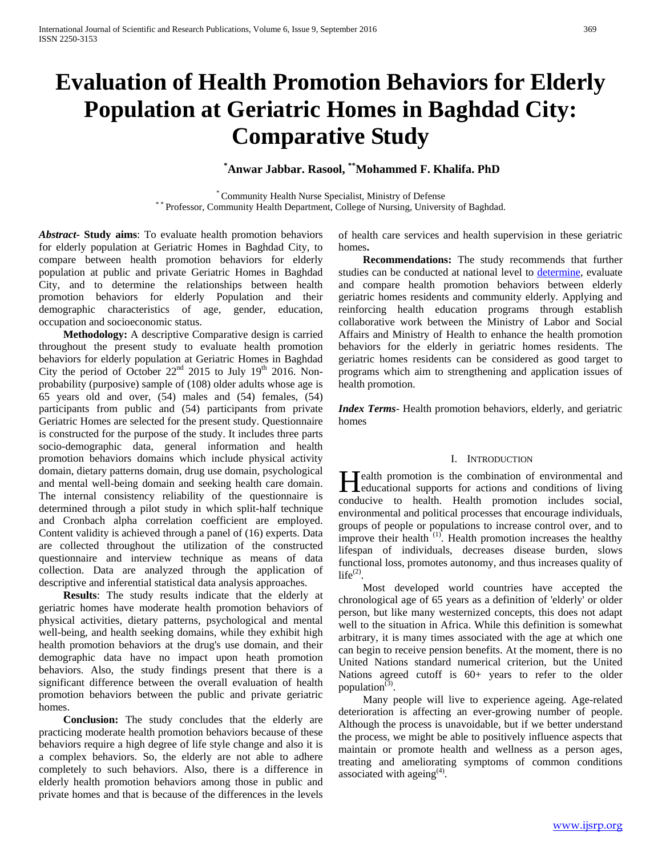# **Evaluation of Health Promotion Behaviors for Elderly Population at Geriatric Homes in Baghdad City: Comparative Study**

# **\* Anwar Jabbar. Rasool, \*\*Mohammed F. Khalifa. PhD**

\* Community Health Nurse Specialist, Ministry of Defense \* \* Professor, Community Health Department, College of Nursing, University of Baghdad.

*Abstract***- Study aims**: To evaluate health promotion behaviors for elderly population at Geriatric Homes in Baghdad City, to compare between health promotion behaviors for elderly population at public and private Geriatric Homes in Baghdad City, and to determine the relationships between health promotion behaviors for elderly Population and their demographic characteristics of age, gender, education, occupation and socioeconomic status.

 **Methodology:** A descriptive Comparative design is carried throughout the present study to evaluate health promotion behaviors for elderly population at Geriatric Homes in Baghdad City the period of October  $22<sup>nd</sup>$  2015 to July 19<sup>th</sup> 2016. Nonprobability (purposive) sample of (108) older adults whose age is 65 years old and over, (54) males and (54) females, (54) participants from public and (54) participants from private Geriatric Homes are selected for the present study. Questionnaire is constructed for the purpose of the study. It includes three parts socio-demographic data, general information and health promotion behaviors domains which include physical activity domain, dietary patterns domain, drug use domain, psychological and mental well-being domain and seeking health care domain. The internal consistency reliability of the questionnaire is determined through a pilot study in which split-half technique and Cronbach alpha correlation coefficient are employed. Content validity is achieved through a panel of (16) experts. Data are collected throughout the utilization of the constructed questionnaire and interview technique as means of data collection. Data are analyzed through the application of descriptive and inferential statistical data analysis approaches.

 **Results**: The study results indicate that the elderly at geriatric homes have moderate health promotion behaviors of physical activities, dietary patterns, psychological and mental well-being, and health seeking domains, while they exhibit high health promotion behaviors at the drug's use domain, and their demographic data have no impact upon heath promotion behaviors. Also, the study findings present that there is a significant difference between the overall evaluation of health promotion behaviors between the public and private geriatric homes.

 **Conclusion:** The study concludes that the elderly are practicing moderate health promotion behaviors because of these behaviors require a high degree of life style change and also it is a complex behaviors. So, the elderly are not able to adhere completely to such behaviors. Also, there is a difference in elderly health promotion behaviors among those in public and private homes and that is because of the differences in the levels

of health care services and health supervision in these geriatric homes**.**

 **Recommendations:** The study recommends that further studies can be conducted at national level to [determine,](https://www.google.com/aclk?sa=L&ai=C-D1axU96V_CNNcLb7gaWsZXQBrimlOQH4KLdtLkCppmrOAgAEAIgr04oAmDxAsgBAakCLRHnHB6lyD3IAxuqBCpP0MDpeJ6jL4pi8YNvKv9NuehdruqP35QJexcb_ngdalmzVbFl8g7MBDeAB-CL0jyQBwGoB6a-G9gHAQ&sig=AOD64_39LzFj7-KTevOPoxTC4aaIOBQbGg&adurl=http://www.mathhomeworkanswers.org&clui=1&nb=0&res_url=http%3A%2F%2Fask.reference.com%2Fweb%3Fs%3Dt%26q%3Ddetermination%2520of%26l%3Ddir%26qsrc%3D2891%26o%3D10616&rurl=http%3A%2F%2Fwww.dictionary.com%2Fbrowse%2Fdetermination&nm=11&nx=15&ny=2&is=562x163&clkt=101) evaluate and compare health promotion behaviors between elderly geriatric homes residents and community elderly. Applying and reinforcing health education programs through establish collaborative work between the Ministry of Labor and Social Affairs and Ministry of Health to enhance the health promotion behaviors for the elderly in geriatric homes residents. The geriatric homes residents can be considered as good target to programs which aim to strengthening and application issues of health promotion.

*Index Terms*- Health promotion behaviors, elderly, and geriatric homes

### I. INTRODUCTION

ealth promotion is the combination of environmental and **Health promotion is the combination of environmental and educational supports for actions and conditions of living and conditions** conducive to health. Health promotion includes social, environmental and political processes that encourage individuals, groups of people or populations to increase control over, and to improve their health  $(1)$ . Health promotion increases the healthy lifespan of individuals, decreases disease burden, slows functional loss, promotes autonomy, and thus increases quality of  $life^{(2)}$ .

 Most developed world countries have accepted the chronological age of 65 years as a definition of 'elderly' or older person, but like many westernized concepts, this does not adapt well to the situation in Africa. While this definition is somewhat arbitrary, it is many times associated with the age at which one can begin to receive pension benefits. At the moment, there is no United Nations standard numerical criterion, but the United Nations agreed cutoff is 60+ years to refer to the older population $^{(3)}$ .

 Many people will live to experience ageing. Age-related deterioration is affecting an ever-growing number of people. Although the process is unavoidable, but if we better understand the process, we might be able to positively influence aspects that maintain or promote health and wellness as a person ages, treating and ameliorating symptoms of common conditions associated with ageing<sup> $(4)$ </sup>.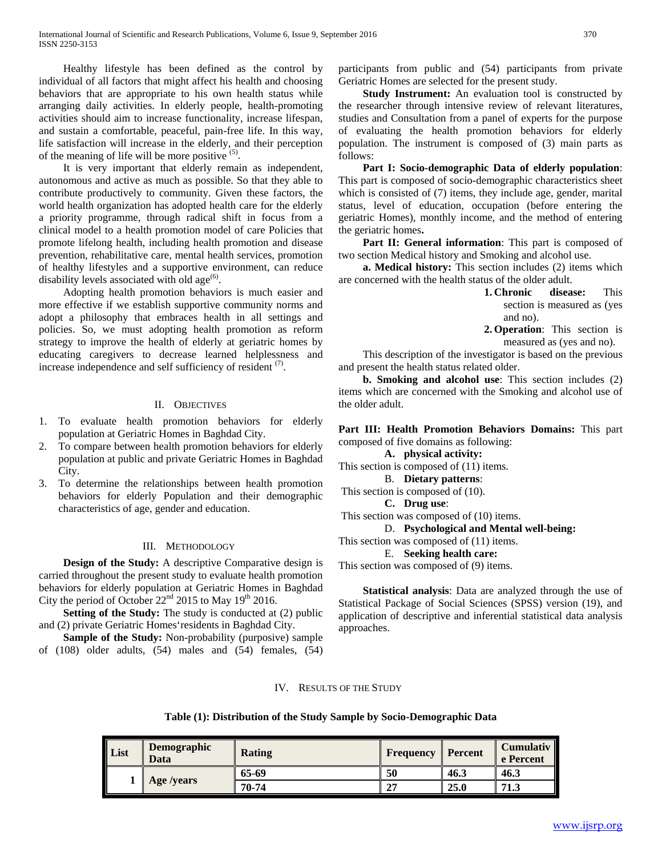Healthy lifestyle has been defined as the control by individual of all factors that might affect his health and choosing behaviors that are appropriate to his own health status while arranging daily activities. In elderly people, health-promoting activities should aim to increase functionality, increase lifespan, and sustain a comfortable, peaceful, pain-free life. In this way, life satisfaction will increase in the elderly, and their perception of the meaning of life will be more positive  $(5)$ .

 It is very important that elderly remain as independent, autonomous and active as much as possible. So that they able to contribute productively to community. Given these factors, the world health organization has adopted health care for the elderly a priority programme, through radical shift in focus from a clinical model to a health promotion model of care Policies that promote lifelong health, including health promotion and disease prevention, rehabilitative care, mental health services, promotion of healthy lifestyles and a supportive environment, can reduce disability levels associated with old age<sup> $(6)$ </sup>.

 Adopting health promotion behaviors is much easier and more effective if we establish supportive community norms and adopt a philosophy that embraces health in all settings and policies. So, we must adopting health promotion as reform strategy to improve the health of elderly at geriatric homes by educating caregivers to decrease learned helplessness and increase independence and self sufficiency of resident  $(7)$ .

### II. OBJECTIVES

- 1. To evaluate health promotion behaviors for elderly population at Geriatric Homes in Baghdad City.
- 2. To compare between health promotion behaviors for elderly population at public and private Geriatric Homes in Baghdad City.
- 3. To determine the relationships between health promotion behaviors for elderly Population and their demographic characteristics of age, gender and education.

### III. METHODOLOGY

 **Design of the Study:** A descriptive Comparative design is carried throughout the present study to evaluate health promotion behaviors for elderly population at Geriatric Homes in Baghdad City the period of October  $22<sup>nd</sup>$  2015 to May 19<sup>th</sup> 2016.

 **Setting of the Study:** The study is conducted at (2) public and (2) private Geriatric Homes'residents in Baghdad City.

 **Sample of the Study:** Non-probability (purposive) sample of (108) older adults, (54) males and (54) females, (54) participants from public and (54) participants from private Geriatric Homes are selected for the present study.

 **Study Instrument:** An evaluation tool is constructed by the researcher through intensive review of relevant literatures, studies and Consultation from a panel of experts for the purpose of evaluating the health promotion behaviors for elderly population. The instrument is composed of (3) main parts as follows:

 **Part I: Socio-demographic Data of elderly population**: This part is composed of socio-demographic characteristics sheet which is consisted of (7) items, they include age, gender, marital status, level of education, occupation (before entering the geriatric Homes), monthly income, and the method of entering the geriatric homes**.**

Part II: General information: This part is composed of two section Medical history and Smoking and alcohol use.

 **a. Medical history:** This section includes (2) items which are concerned with the health status of the older adult.

**1. Chronic disease:** This section is measured as (yes and no).

**2. Operation**: This section is measured as (yes and no).

 This description of the investigator is based on the previous and present the health status related older.

 **b. Smoking and alcohol use**: This section includes (2) items which are concerned with the Smoking and alcohol use of the older adult.

**Part III: Health Promotion Behaviors Domains:** This part composed of five domains as following:

**A. physical activity:** This section is composed of (11) items.

B. **Dietary patterns**:

This section is composed of (10).

**C. Drug use**:

This section was composed of (10) items.

D. **Psychological and Mental well-being:**

This section was composed of (11) items.

E. **Seeking health care:**

This section was composed of (9) items.

 **Statistical analysis**: Data are analyzed through the use of Statistical Package of Social Sciences (SPSS) version (19), and application of descriptive and inferential statistical data analysis approaches.

### IV. RESULTS OF THE STUDY

### **Table (1): Distribution of the Study Sample by Socio-Demographic Data**

| List | Demographic<br>Data | <b>Rating</b> | <b>Frequency</b> | <b>Percent</b> | <b>Cumulativ</b><br>e Percent |
|------|---------------------|---------------|------------------|----------------|-------------------------------|
|      |                     | 65-69         | 50               | 46.3           | 46.3                          |
|      | Age /years          | 70-74         | $\sim$           | 25.0           | 71.3                          |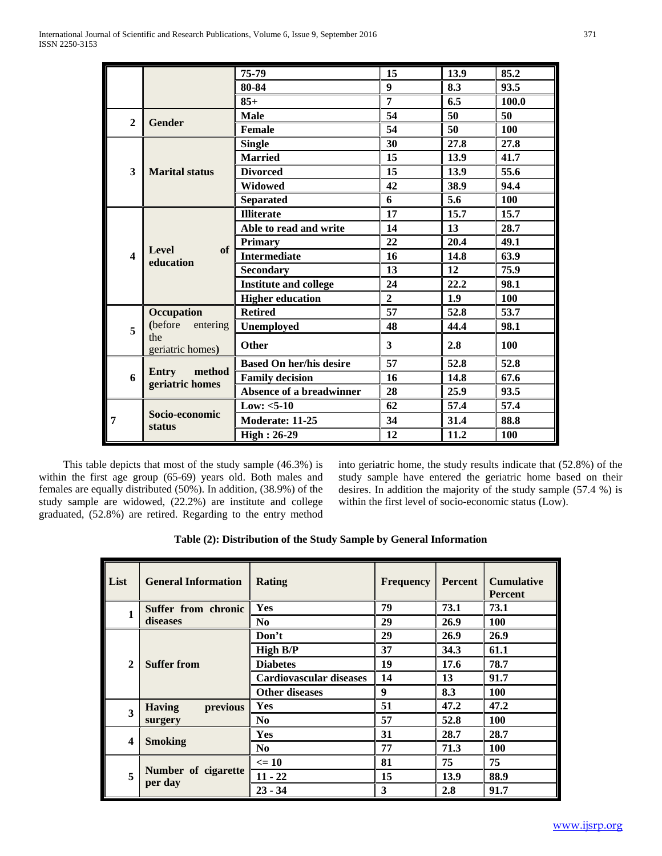|              |                                                     | 75-79                          | 15               | 13.9 | 85.2       |
|--------------|-----------------------------------------------------|--------------------------------|------------------|------|------------|
|              |                                                     | 80-84                          | $\boldsymbol{9}$ | 8.3  | 93.5       |
|              |                                                     | $85+$                          | 7                | 6.5  | 100.0      |
| $\mathbf{2}$ | <b>Gender</b>                                       | <b>Male</b>                    | 54               | 50   | 50         |
|              |                                                     | Female                         | 54               | 50   | 100        |
|              |                                                     | <b>Single</b>                  | 30               | 27.8 | 27.8       |
|              |                                                     | <b>Married</b>                 | 15               | 13.9 | 41.7       |
| 3            | <b>Marital status</b>                               | <b>Divorced</b>                | 15               | 13.9 | 55.6       |
|              |                                                     | <b>Widowed</b>                 | 42               | 38.9 | 94.4       |
|              |                                                     | <b>Separated</b>               | 6                | 5.6  | 100        |
|              |                                                     | <b>Illiterate</b>              | 17               | 15.7 | 15.7       |
|              | <b>Level</b><br>of<br>$\boldsymbol{4}$<br>education | Able to read and write         | 14               | 13   | 28.7       |
|              |                                                     | <b>Primary</b>                 | 22               | 20.4 | 49.1       |
|              |                                                     | <b>Intermediate</b>            | 16               | 14.8 | 63.9       |
|              |                                                     | <b>Secondary</b>               | 13               | 12   | 75.9       |
|              |                                                     | <b>Institute and college</b>   | 24               | 22.2 | 98.1       |
|              |                                                     | <b>Higher education</b>        | $\overline{2}$   | 1.9  | <b>100</b> |
|              | Occupation                                          | <b>Retired</b>                 | 57               | 52.8 | 53.7       |
| 5            | (before<br>entering                                 | Unemployed                     | 48               | 44.4 | 98.1       |
|              | the<br>geriatric homes)                             | Other                          | 3                | 2.8  | 100        |
|              |                                                     | <b>Based On her/his desire</b> | 57               | 52.8 | 52.8       |
| 6            | method<br>Entry<br>geriatric homes                  | <b>Family decision</b>         | 16               | 14.8 | 67.6       |
|              |                                                     | Absence of a breadwinner       | 28               | 25.9 | 93.5       |
|              |                                                     | Low: $<5-10$                   | 62               | 57.4 | 57.4       |
| 7            | Socio-economic                                      | Moderate: 11-25                | 34               | 31.4 | 88.8       |
|              | <b>status</b>                                       | <b>High: 26-29</b>             | 12               | 11.2 | <b>100</b> |

 This table depicts that most of the study sample (46.3%) is within the first age group (65-69) years old. Both males and females are equally distributed (50%). In addition, (38.9%) of the study sample are widowed, (22.2%) are institute and college graduated, (52.8%) are retired. Regarding to the entry method into geriatric home, the study results indicate that (52.8%) of the study sample have entered the geriatric home based on their desires. In addition the majority of the study sample (57.4 %) is within the first level of socio-economic status (Low).

| Table (2): Distribution of the Study Sample by General Information |  |  |
|--------------------------------------------------------------------|--|--|
|--------------------------------------------------------------------|--|--|

| List                    | <b>General Information</b>     | Rating                  | <b>Frequency</b> | Percent | <b>Cumulative</b><br><b>Percent</b> |
|-------------------------|--------------------------------|-------------------------|------------------|---------|-------------------------------------|
| 1                       | Suffer from chronic            | Yes                     | 79               | 73.1    | 73.1                                |
|                         | diseases                       | N <sub>0</sub>          | 29               | 26.9    | <b>100</b>                          |
|                         |                                | Don't                   | 29               | 26.9    | 26.9                                |
|                         |                                | <b>High B/P</b>         | 37               | 34.3    | 61.1                                |
| $\overline{2}$          | <b>Suffer from</b>             | <b>Diabetes</b>         | 19               | 17.6    | 78.7                                |
|                         |                                | Cardiovascular diseases | 14               | 13      | 91.7                                |
|                         |                                | <b>Other diseases</b>   | 9                | 8.3     | <b>100</b>                          |
| 3                       | previous<br><b>Having</b>      | Yes                     | 51               | 47.2    | 47.2                                |
|                         | surgery                        | No.                     | 57               | 52.8    | <b>100</b>                          |
| $\overline{\mathbf{4}}$ |                                | Yes                     | 31               | 28.7    | 28.7                                |
|                         | <b>Smoking</b>                 | N <sub>0</sub>          | 77               | 71.3    | <b>100</b>                          |
|                         |                                | $\leq$ 10               | 81               | 75      | 75                                  |
| 5                       | Number of cigarette<br>per day | $11 - 22$               | 15               | 13.9    | 88.9                                |
|                         |                                | $23 - 34$               | 3                | 2.8     | 91.7                                |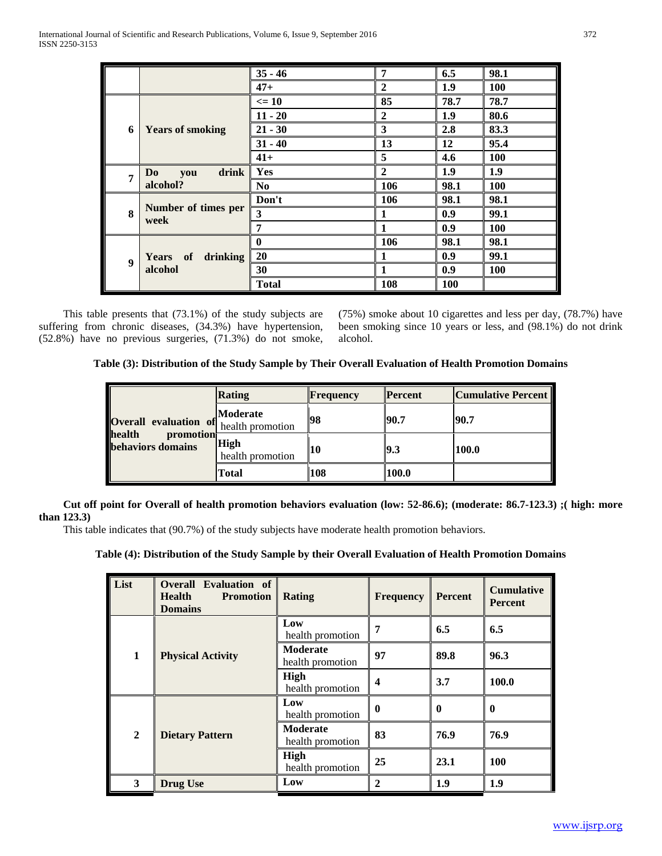|                  |                                | $35 - 46$      | 7              | 6.5        | 98.1       |
|------------------|--------------------------------|----------------|----------------|------------|------------|
|                  |                                | $47+$          | $\overline{2}$ | 1.9        | 100        |
|                  |                                | $\leq 10$      | 85             | 78.7       | 78.7       |
|                  | 6<br><b>Years of smoking</b>   | $11 - 20$      | $\overline{2}$ | 1.9        | 80.6       |
|                  |                                | $21 - 30$      | 3              | 2.8        | 83.3       |
|                  |                                | $31 - 40$      | 13             | 12         | 95.4       |
|                  |                                | $41+$          | 5              | 4.6        | <b>100</b> |
| $\overline{7}$   | drink<br>D <sub>0</sub><br>you | Yes            | $\overline{2}$ | 1.9        | 1.9        |
|                  | alcohol?                       | N <sub>0</sub> | 106            | 98.1       | 100        |
|                  |                                | Don't          | 106            | 98.1       | 98.1       |
| 8                | Number of times per<br>week    | 3              | 1              | 0.9        | 99.1       |
|                  |                                | 7              |                | 0.9        | 100        |
|                  |                                | $\bf{0}$       | 106            | 98.1       | 98.1       |
| $\boldsymbol{Q}$ | Years of<br>drinking           | 20             | 1              | 0.9        | 99.1       |
|                  | alcohol                        | 30             | 1              | 0.9        | 100        |
|                  |                                | <b>Total</b>   | 108            | <b>100</b> |            |

 This table presents that (73.1%) of the study subjects are suffering from chronic diseases, (34.3%) have hypertension, (52.8%) have no previous surgeries, (71.3%) do not smoke, (75%) smoke about 10 cigarettes and less per day, (78.7%) have been smoking since 10 years or less, and (98.1%) do not drink alcohol.

**Table (3): Distribution of the Study Sample by Their Overall Evaluation of Health Promotion Domains**

| <b>Overall evaluation of</b> health promotion   | Rating                   | <b>Frequency</b> | <b>Percent</b> | <b>Cumulative Percent</b> |
|-------------------------------------------------|--------------------------|------------------|----------------|---------------------------|
|                                                 | Moderate                 | 98               | 90.7           | 90.7                      |
| health<br>promotion<br><b>behaviors</b> domains | High<br>health promotion | 10               | 19.3           | 100.0                     |
|                                                 | Total                    | 108              | 100.0          |                           |

 **Cut off point for Overall of health promotion behaviors evaluation (low: 52-86.6); (moderate: 86.7-123.3) ;( high: more than 123.3)** 

This table indicates that (90.7%) of the study subjects have moderate health promotion behaviors.

# **Table (4): Distribution of the Study Sample by their Overall Evaluation of Health Promotion Domains**

| List           | <b>Overall Evaluation of</b><br><b>Promotion</b><br><b>Health</b><br><b>Domains</b> | Rating                              | <b>Frequency</b> | <b>Percent</b> | <b>Cumulative</b><br><b>Percent</b> |
|----------------|-------------------------------------------------------------------------------------|-------------------------------------|------------------|----------------|-------------------------------------|
|                |                                                                                     | Low<br>health promotion             | 7                | 6.5            | 6.5                                 |
| $\mathbf{1}$   | <b>Physical Activity</b>                                                            | <b>Moderate</b><br>health promotion | 97               | 89.8           | 96.3                                |
|                |                                                                                     | High<br>health promotion            | 4                | 3.7            | 100.0                               |
|                |                                                                                     | Low<br>health promotion             | 0                | $\bf{0}$       | $\mathbf{0}$                        |
| $\overline{2}$ | <b>Dietary Pattern</b>                                                              | <b>Moderate</b><br>health promotion | 83               | 76.9           | 76.9                                |
|                |                                                                                     | High<br>health promotion            | 25               | 23.1           | <b>100</b>                          |
| 3              | <b>Drug Use</b>                                                                     | Low                                 | $\mathbf{2}$     | 1.9            | 1.9                                 |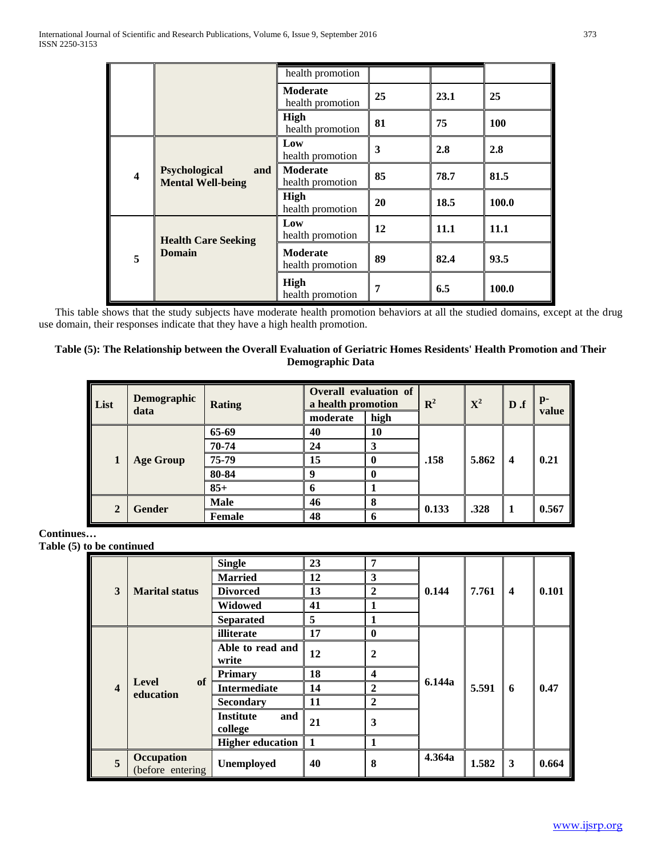|                         |                                                  | health promotion                    |    |      |            |
|-------------------------|--------------------------------------------------|-------------------------------------|----|------|------------|
|                         |                                                  | <b>Moderate</b><br>health promotion | 25 | 23.1 | 25         |
|                         |                                                  | High<br>health promotion            | 81 | 75   | <b>100</b> |
|                         |                                                  | Low<br>health promotion             | 3  | 2.8  | 2.8        |
| $\overline{\mathbf{4}}$ | Psychological<br>and<br><b>Mental Well-being</b> | <b>Moderate</b><br>health promotion | 85 | 78.7 | 81.5       |
|                         |                                                  | High<br>health promotion            | 20 | 18.5 | 100.0      |
|                         | <b>Health Care Seeking</b>                       | Low<br>health promotion             | 12 | 11.1 | 11.1       |
| 5                       | <b>Domain</b>                                    | <b>Moderate</b><br>health promotion | 89 | 82.4 | 93.5       |
|                         |                                                  | High<br>health promotion            | 7  | 6.5  | 100.0      |

This table shows that the study subjects have moderate health promotion behaviors at all the studied domains, except at the drug use domain, their responses indicate that they have a high health promotion.

### **Table (5): The Relationship between the Overall Evaluation of Geriatric Homes Residents' Health Promotion and Their Demographic Data**

| List           | Demographic<br>data | <b>Rating</b> | moderate | Overall evaluation of<br>a health promotion<br>high |       | ${\bf X}^2$ | D.f                     | $\mathbf{p}$<br>value |
|----------------|---------------------|---------------|----------|-----------------------------------------------------|-------|-------------|-------------------------|-----------------------|
|                |                     | 65-69         | 40       | 10                                                  |       |             | $\overline{\mathbf{4}}$ |                       |
|                |                     | 70-74         | 24       | 3                                                   | .158  | 5.862       |                         |                       |
| 1              | <b>Age Group</b>    | 75-79         | 15       | o                                                   |       |             |                         | 0.21                  |
|                |                     | 80-84         | Q        | 0                                                   |       |             |                         |                       |
|                |                     | $85+$         | n        |                                                     |       |             |                         |                       |
|                |                     | <b>Male</b>   | 46       | 8                                                   |       |             |                         |                       |
| $\overline{2}$ | <b>Gender</b>       | <b>Female</b> | 48       | 6                                                   | 0.133 | .328        |                         | 0.567                 |

**Continues…**

**Table (5) to be continued**

|                            |                                 | <b>Single</b>                      | 23               | 7                |                 |                         |       |       |
|----------------------------|---------------------------------|------------------------------------|------------------|------------------|-----------------|-------------------------|-------|-------|
|                            |                                 | <b>Married</b>                     | 12               | $\mathbf{3}$     |                 |                         |       |       |
| 3<br><b>Marital status</b> | <b>Divorced</b>                 | 13                                 | $\boldsymbol{2}$ | 0.144            | 7.761           | $\overline{\mathbf{4}}$ | 0.101 |       |
|                            |                                 | <b>Widowed</b>                     | 41               |                  |                 |                         |       |       |
|                            |                                 | <b>Separated</b>                   | 5                |                  |                 |                         |       |       |
|                            |                                 | illiterate                         | 17               | $\bf{0}$         |                 |                         |       |       |
|                            |                                 | Able to read and<br>write          | 12               | $\boldsymbol{2}$ |                 |                         |       |       |
|                            |                                 | <b>Primary</b>                     | 18               | 4                | 6.144a<br>5.591 |                         |       |       |
| $\overline{\mathbf{4}}$    | of<br><b>Level</b><br>education | <b>Intermediate</b>                | 14               | $\boldsymbol{2}$ |                 |                         | 6     | 0.47  |
|                            |                                 | <b>Secondary</b>                   | 11               | $\mathbf{2}$     |                 |                         |       |       |
|                            |                                 | and<br><b>Institute</b><br>college | 21               | 3                |                 |                         |       |       |
|                            |                                 | <b>Higher education</b>            | -1               | 1                |                 |                         |       |       |
| 5                          | Occupation<br>(before entering) | Unemployed                         | 40               | 8                | 4.364a          | 1.582                   | 3     | 0.664 |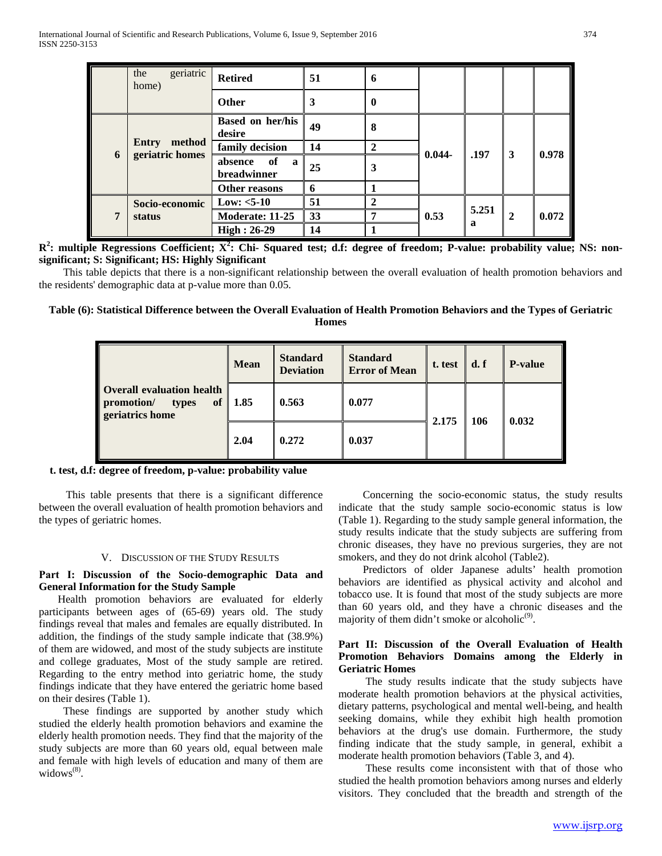|   | geriatric<br>the<br>home)                      | <b>Retired</b>                    | 51 | 6                |           |            |              |       |
|---|------------------------------------------------|-----------------------------------|----|------------------|-----------|------------|--------------|-------|
|   |                                                | Other                             | 3  | $\boldsymbol{0}$ |           |            |              |       |
|   |                                                | <b>Based on her/his</b><br>desire | 49 | 8                |           |            |              |       |
|   | method<br><b>Entry</b><br>geriatric homes<br>6 | family decision                   | 14 | $\mathbf 2$      |           | .197       | 3            | 0.978 |
|   |                                                | of<br>absence<br>a<br>breadwinner | 25 | 3                | $0.044 -$ |            |              |       |
|   |                                                | Other reasons                     | 6  |                  |           |            |              |       |
|   | Socio-economic                                 | Low: $<5-10$                      | 51 | $\mathbf{2}$     |           |            |              |       |
| 7 | status                                         | Moderate: 11-25                   | 33 | 7                | 0.53      | 5.251<br>a | $\mathbf{2}$ | 0.072 |
|   |                                                | $High: 26-29$                     | 14 |                  |           |            |              |       |

**R2 : multiple Regressions Coefficient; X<sup>2</sup> : Chi- Squared test; d.f: degree of freedom; P-value: probability value; NS: nonsignificant; S: Significant; HS: Highly Significant**

 This table depicts that there is a non-significant relationship between the overall evaluation of health promotion behaviors and the residents' demographic data at p-value more than 0.05.

# **Table (6): Statistical Difference between the Overall Evaluation of Health Promotion Behaviors and the Types of Geriatric Homes**

| Overall evaluation health<br>promotion/<br><b>of</b><br>types<br>geriatrics home | Mean | <b>Standard</b><br><b>Deviation</b> | <b>Standard</b><br><b>Error of Mean</b> | t. test | d. f | <b>P-value</b> |
|----------------------------------------------------------------------------------|------|-------------------------------------|-----------------------------------------|---------|------|----------------|
|                                                                                  | 1.85 | 0.563                               | 0.077                                   | 2.175   | 106  | 0.032          |
|                                                                                  | 2.04 | 0.272                               | 0.037                                   |         |      |                |

# **t. test, d.f: degree of freedom, p-value: probability value**

 This table presents that there is a significant difference between the overall evaluation of health promotion behaviors and the types of geriatric homes.

### V. DISCUSSION OF THE STUDY RESULTS

### **Part Ι: Discussion of the Socio-demographic Data and General Information for the Study Sample**

 Health promotion behaviors are evaluated for elderly participants between ages of (65-69) years old. The study findings reveal that males and females are equally distributed. In addition, the findings of the study sample indicate that (38.9%) of them are widowed, and most of the study subjects are institute and college graduates, Most of the study sample are retired. Regarding to the entry method into geriatric home, the study findings indicate that they have entered the geriatric home based on their desires (Table 1).

 These findings are supported by another study which studied the elderly health promotion behaviors and examine the elderly health promotion needs. They find that the majority of the study subjects are more than 60 years old, equal between male and female with high levels of education and many of them are widows<sup>(8)</sup>.

 Concerning the socio-economic status, the study results indicate that the study sample socio-economic status is low (Table 1). Regarding to the study sample general information, the study results indicate that the study subjects are suffering from chronic diseases, they have no previous surgeries, they are not smokers, and they do not drink alcohol (Table2).

Predictors of older Japanese adults' health promotion behaviors are identified as physical activity and alcohol and tobacco use. It is found that most of the study subjects are more than 60 years old, and they have a chronic diseases and the majority of them didn't smoke or alcoholic $^{(9)}$ .

# **Part II: Discussion of the Overall Evaluation of Health Promotion Behaviors Domains among the Elderly in Geriatric Homes**

 The study results indicate that the study subjects have moderate health promotion behaviors at the physical activities, dietary patterns, psychological and mental well-being, and health seeking domains, while they exhibit high health promotion behaviors at the drug's use domain. Furthermore, the study finding indicate that the study sample, in general, exhibit a moderate health promotion behaviors (Table 3, and 4).

 These results come inconsistent with that of those who studied the health promotion behaviors among nurses and elderly visitors. They concluded that the breadth and strength of the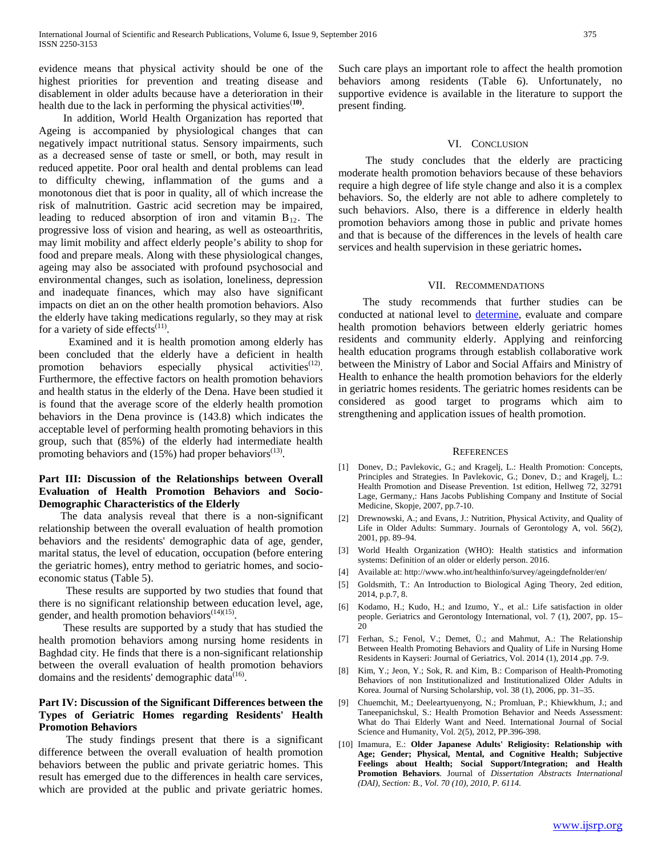evidence means that physical activity should be one of the highest priorities for prevention and treating disease and disablement in older adults because have a deterioration in their health due to the lack in performing the physical activities<sup>(10)</sup>.

 In addition, World Health Organization has reported that Ageing is accompanied by physiological changes that can negatively impact nutritional status. Sensory impairments, such as a decreased sense of taste or smell, or both, may result in reduced appetite. Poor oral health and dental problems can lead to difficulty chewing, inflammation of the gums and a monotonous diet that is poor in quality, all of which increase the risk of malnutrition. Gastric acid secretion may be impaired, leading to reduced absorption of iron and vitamin  $B_{12}$ . The progressive loss of vision and hearing, as well as osteoarthritis, may limit mobility and affect elderly people's ability to shop for food and prepare meals. Along with these physiological changes, ageing may also be associated with profound psychosocial and environmental changes, such as isolation, loneliness, depression and inadequate finances, which may also have significant impacts on diet an on the other health promotion behaviors. Also the elderly have taking medications regularly, so they may at risk for a variety of side effects $(11)$ .

 Examined and it is health promotion among elderly has been concluded that the elderly have a deficient in health promotion behaviors especially physical activities<sup> $(12)$ </sup>. Furthermore, the effective factors on health promotion behaviors and health status in the elderly of the Dena. Have been studied it is found that the average score of the elderly health promotion behaviors in the Dena province is (143.8) which indicates the acceptable level of performing health promoting behaviors in this group, such that (85%) of the elderly had intermediate health promoting behaviors and  $(15%)$  had proper behaviors<sup> $(13)$ </sup>.

### **Part III: Discussion of the Relationships between Overall Evaluation of Health Promotion Behaviors and Socio-Demographic Characteristics of the Elderly**

 The data analysis reveal that there is a non-significant relationship between the overall evaluation of health promotion behaviors and the residents' demographic data of age, gender, marital status, the level of education, occupation (before entering the geriatric homes), entry method to geriatric homes, and socioeconomic status (Table 5).

 These results are supported by two studies that found that there is no significant relationship between education level, age, gender, and health promotion behaviors<sup> $(14)(15)$ </sup>.

 These results are supported by a study that has studied the health promotion behaviors among nursing home residents in Baghdad city. He finds that there is a non-significant relationship between the overall evaluation of health promotion behaviors domains and the residents' demographic data $^{(16)}$ .

# **Part IV: Discussion of the Significant Differences between the Types of Geriatric Homes regarding Residents' Health Promotion Behaviors**

 The study findings present that there is a significant difference between the overall evaluation of health promotion behaviors between the public and private geriatric homes. This result has emerged due to the differences in health care services, which are provided at the public and private geriatric homes.

Such care plays an important role to affect the health promotion behaviors among residents (Table 6). Unfortunately, no supportive evidence is available in the literature to support the present finding.

### VI. CONCLUSION

The study concludes that the elderly are practicing moderate health promotion behaviors because of these behaviors require a high degree of life style change and also it is a complex behaviors. So, the elderly are not able to adhere completely to such behaviors. Also, there is a difference in elderly health promotion behaviors among those in public and private homes and that is because of the differences in the levels of health care services and health supervision in these geriatric homes**.**

### VII. RECOMMENDATIONS

 The study recommends that further studies can be conducted at national level to **determine**, evaluate and compare health promotion behaviors between elderly geriatric homes residents and community elderly. Applying and reinforcing health education programs through establish collaborative work between the Ministry of Labor and Social Affairs and Ministry of Health to enhance the health promotion behaviors for the elderly in geriatric homes residents. The geriatric homes residents can be considered as good target to programs which aim to strengthening and application issues of health promotion.

#### **REFERENCES**

- [1] Donev, D.; Pavlekovic, G.; and Kragelj, L.: Health Promotion: Concepts, Principles and Strategies. In Pavlekovic, G.; Donev, D.; and Kragelj, L.: Health Promotion and Disease Prevention. 1st edition, Hellweg 72, 32791 Lage, Germany,: Hans Jacobs Publishing Company and Institute of Social Medicine, Skopje, 2007, pp.7-10.
- [2] Drewnowski, A.; and Evans, J.: Nutrition, Physical Activity, and Quality of Life in Older Adults: Summary. Journals of Gerontology A, vol. 56(2), 2001, pp. 89–94.
- [3] World Health Organization (WHO): Health statistics and information systems: Definition of an older or elderly person. 2016.
- [4] Available at[: http://www.who.int/healthinfo/survey/ageingdefnolder/en/](http://www.who.int/healthinfo/survey/ageingdefnolder/en/)
- [5] Goldsmith, T.: An Introduction to Biological Aging Theory, 2ed edition, 2014, p.p.7, 8.
- [6] Kodamo, H.; Kudo, H.; and Izumo, Y., et al.: Life satisfaction in older people. Geriatrics and Gerontology International, vol. 7 (1), 2007, pp. 15–  $20$
- [7] Ferhan, S.; Fenol, V.; Demet, Ü.; and Mahmut, A.: The Relationship Between Health Promoting Behaviors and Quality of Life in Nursing Home Residents in Kayseri: Journal of Geriatrics, Vol. 2014 (1), 2014 ,pp. 7-9.
- [8] Kim, Y.; Jeon, Y.; Sok, R. and Kim, B.: Comparison of Health-Promoting Behaviors of non Institutionalized and Institutionalized Older Adults in Korea. Journal of Nursing Scholarship, vol. 38 (1), 2006, pp. 31–35.
- [9] Chuemchit, M.; Deeleartyuenyong, N.; Promluan, P.; Khiewkhum, J.; and Taneepanichskul, S.: Health Promotion Behavior and Needs Assessment: What do Thai Elderly Want and Need. International Journal of Social Science and Humanity, Vol. 2(5), 2012, PP.396-398.
- [10] [Imamura, E.:](http://las.sinica.edu.tw:1085/search~S0?/aImamura%2C+Emiko/aimamura+emiko/-3,-1,0,B/browse) **Older Japanese Adults' Religiosity: Relationship with Age; Gender; Physical, Mental, and Cognitive Health; Subjective Feelings about Health; Social Support/Integration; and Health Promotion Behaviors**. Journal of *Dissertation Abstracts International (DAI)*, *Section: B., Vol. 70 (10), 2010, P. 6114.*